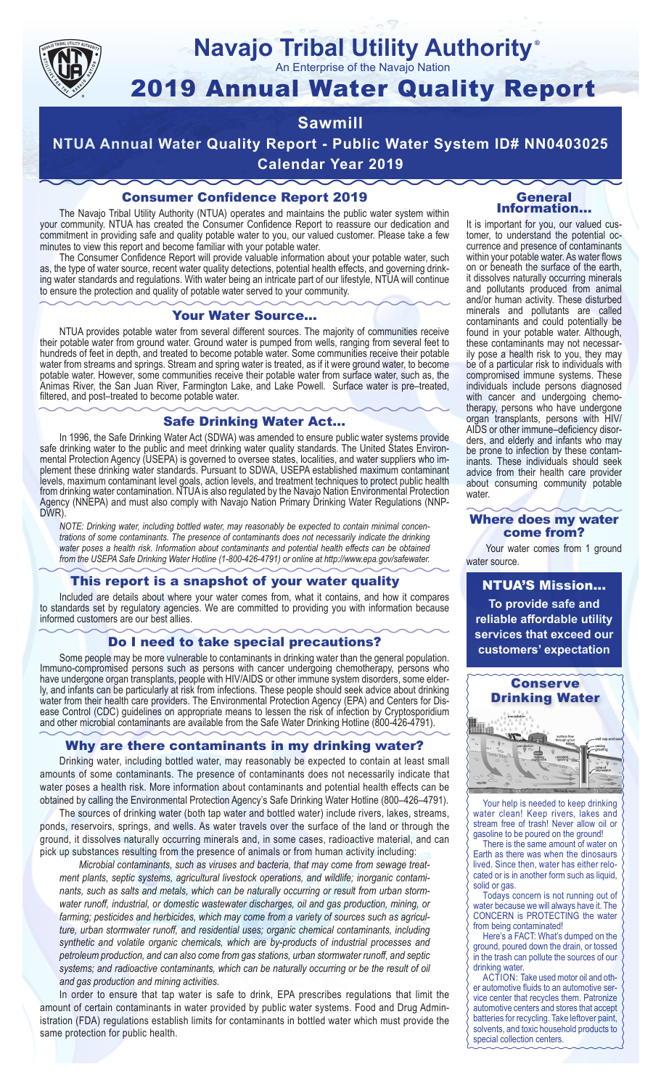

## **Navajo Tribal Utility Authority** ®

An Enterprise of the Navajo Nation

# 2019 Annual Water Quality Report

## **Sawmill**

**NTUA Annual Water Quality Report - Public Water System ID# NN0403025 Calendar Year 2019**

## Consumer Confidence Report 2019

The Navajo Tribal Utility Authority (NTUA) operates and maintains the public water system within your community. NTUA has created the Consumer Confidence Report to reassure our dedication and commitment in providing safe and quality potable water to you, our valued customer. Please take a few minutes to view this report and become familiar with your potable water.

The Consumer Confidence Report will provide valuable information about your potable water, such as, the type of water source, recent water quality detections, potential health effects, and governing drinking water standards and regulations. With water being an intricate part of our lifestyle, NTUA will continue to ensure the protection and quality of potable water served to your community.

#### Your Water Source…

NTUA provides potable water from several different sources. The majority of communities receive their potable water from ground water. Ground water is pumped from wells, ranging from several feet to hundreds of feet in depth, and treated to become potable water. Some communities receive their potable water from streams and springs. Stream and spring water is treated, as if it were ground water, to become potable water. However, some communities receive their potable water from surface water, such as, the Animas River, the San Juan River, Farmington Lake, and Lake Powell. Surface water is pre–treated, filtered, and post–treated to become potable water.

#### Safe Drinking Water Act…

In 1996, the Safe Drinking Water Act (SDWA) was amended to ensure public water systems provide safe drinking water to the public and meet drinking water quality standards. The United States Environmental Protection Agency (USEPA) is governed to oversee states, localities, and water suppliers who implement these drinking water standards. Pursuant to SDWA, USEPA established maximum contaminant levels, maximum contaminant level goals, action levels, and treatment techniques to protect public health from drinking water contamination. NTUA is also regulated by the Navajo Nation Environmental Protection Agency (NNEPA) and must also comply with Navajo Nation Primary Drinking Water Regulations (NNP-DWR)

*NOTE: Drinking water, including bottled water, may reasonably be expected to contain minimal concentrations of some contaminants. The presence of contaminants does not necessarily indicate the drinking water poses a health risk. Information about contaminants and potential health effects can be obtained from the USEPA Safe Drinking Water Hotline (1-800-426-4791) or online at http://www.epa.gov/safewater.*

### This report is a snapshot of your water quality

Included are details about where your water comes from, what it contains, and how it compares to standards set by regulatory agencies. We are committed to providing you with information because informed customers are our best allies.

#### Do I need to take special precautions?

Some people may be more vulnerable to contaminants in drinking water than the general population. Immuno-compromised persons such as persons with cancer undergoing chemotherapy, persons who have undergone organ transplants, people with HIV/AIDS or other immune system disorders, some elderly, and infants can be particularly at risk from infections. These people should seek advice about drinking water from their health care providers. The Environmental Protection Agency (EPA) and Centers for Disease Control (CDC) guidelines on appropriate means to lessen the risk of infection by Cryptosporidium and other microbial contaminants are available from the Safe Water Drinking Hotline (800-426-4791).

### Why are there contaminants in my drinking water?

Drinking water, including bottled water, may reasonably be expected to contain at least small amounts of some contaminants. The presence of contaminants does not necessarily indicate that water poses a health risk. More information about contaminants and potential health effects can be obtained by calling the Environmental Protection Agency's Safe Drinking Water Hotline (800–426–4791).

The sources of drinking water (both tap water and bottled water) include rivers, lakes, streams, ponds, reservoirs, springs, and wells. As water travels over the surface of the land or through the ground, it dissolves naturally occurring minerals and, in some cases, radioactive material, and can pick up substances resulting from the presence of animals or from human activity including:

*Microbial contaminants, such as viruses and bacteria, that may come from sewage treatment plants, septic systems, agricultural livestock operations, and wildlife; inorganic contaminants, such as salts and metals, which can be naturally occurring or result from urban stormwater runoff, industrial, or domestic wastewater discharges, oil and gas production, mining, or farming; pesticides and herbicides, which may come from a variety of sources such as agriculture, urban stormwater runoff, and residential uses; organic chemical contaminants, including synthetic and volatile organic chemicals, which are by-products of industrial processes and petroleum production, and can also come from gas stations, urban stormwater runoff, and septic systems; and radioactive contaminants, which can be naturally occurring or be the result of oil and gas production and mining activities.*

In order to ensure that tap water is safe to drink, EPA prescribes regulations that limit the amount of certain contaminants in water provided by public water systems. Food and Drug Administration (FDA) regulations establish limits for contaminants in bottled water which must provide the same protection for public health.

#### General Information…

It is important for you, our valued customer, to understand the potential occurrence and presence of contaminants within your potable water. As water flows on or beneath the surface of the earth, it dissolves naturally occurring minerals and pollutants produced from animal and/or human activity. These disturbed minerals and pollutants are called contaminants and could potentially be found in your potable water. Although, these contaminants may not necessarily pose a health risk to you, they may be of a particular risk to individuals with compromised immune systems. These individuals include persons diagnosed with cancer and undergoing chemo-<br>therapy, persons who have undergone organ transplants, persons with HIV/ AIDS or other immune–deficiency disor- ders, and elderly and infants who may be prone to infection by these contam- inants. These individuals should seek advice from their health care provider about consuming community potable water.

#### Where does my water come from?

Your water comes from 1 ground water source.

NTUA'S Mission... **To provide safe and reliable affordable utility services that exceed our customers' expectation**



Your help is needed to keep drinking water clean! Keep rivers, lakes and stream free of trash! Never allow oil or gasoline to be poured on the ground!

There is the same amount of water on Earth as there was when the dinosaurs lived. Since then, water has either relocated or is in another form such as liquid, solid or gas.

Todays concern is not running out of water because we will always have it. The CONCERN is PROTECTING the water from being contaminated!

Here's a FACT: What's dumped on the ground, poured down the drain, or tossed in the trash can pollute the sources of our drinking water.

ACTION: Take used motor oil and other automotive fluids to an automotive service center that recycles them. Patronize automotive centers and stores that accept batteries for recycling. Take leftover paint, solvents, and toxic household products to special collection centers.